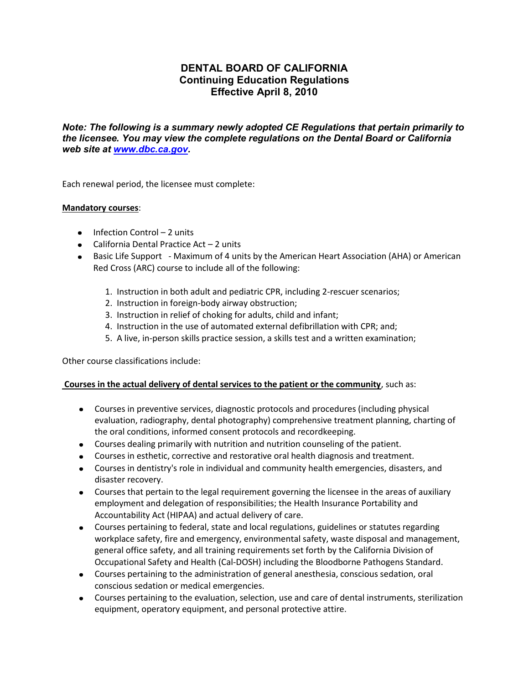# **DENTAL BOARD OF CALIFORNIA Continuing Education Regulations Effective April 8, 2010**

*Note: The following is a summary newly adopted CE Regulations that pertain primarily to the licensee. You may view the complete regulations on the Dental Board or California web site at [www.dbc.ca.gov.](http://www.dbc.ca.gov/)*

Each renewal period, the licensee must complete:

#### **Mandatory courses**:

- $\bullet$  Infection Control 2 units
- $\bullet$  California Dental Practice Act  $-2$  units
- Basic Life Support Maximum of 4 units by the American Heart Association (AHA) or American Red Cross (ARC) course to include all of the following:
	- 1. Instruction in both adult and pediatric CPR, including 2-rescuer scenarios;
	- 2. Instruction in foreign-body airway obstruction;
	- 3. Instruction in relief of choking for adults, child and infant;
	- 4. Instruction in the use of automated external defibrillation with CPR; and;
	- 5. A live, in-person skills practice session, a skills test and a written examination;

Other course classifications include:

### **Courses in the actual delivery of dental services to the patient or the community**, such as:

- Courses in preventive services, diagnostic protocols and procedures (including physical evaluation, radiography, dental photography) comprehensive treatment planning, charting of the oral conditions, informed consent protocols and recordkeeping.
- Courses dealing primarily with nutrition and nutrition counseling of the patient.
- Courses in esthetic, corrective and restorative oral health diagnosis and treatment.
- Courses in dentistry's role in individual and community health emergencies, disasters, and disaster recovery.
- Courses that pertain to the legal requirement governing the licensee in the areas of auxiliary employment and delegation of responsibilities; the Health Insurance Portability and Accountability Act (HIPAA) and actual delivery of care.
- Courses pertaining to federal, state and local regulations, guidelines or statutes regarding workplace safety, fire and emergency, environmental safety, waste disposal and management, general office safety, and all training requirements set forth by the California Division of Occupational Safety and Health (Cal-DOSH) including the Bloodborne Pathogens Standard.
- Courses pertaining to the administration of general anesthesia, conscious sedation, oral conscious sedation or medical emergencies.
- Courses pertaining to the evaluation, selection, use and care of dental instruments, sterilization equipment, operatory equipment, and personal protective attire.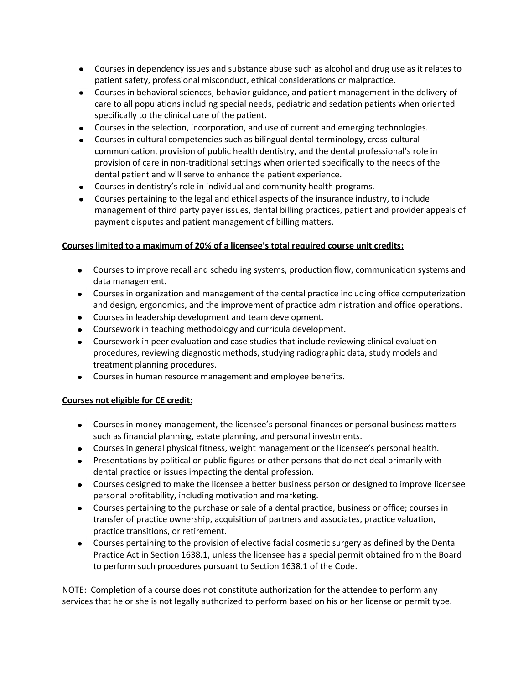- Courses in dependency issues and substance abuse such as alcohol and drug use as it relates to patient safety, professional misconduct, ethical considerations or malpractice.
- Courses in behavioral sciences, behavior guidance, and patient management in the delivery of care to all populations including special needs, pediatric and sedation patients when oriented specifically to the clinical care of the patient.
- Courses in the selection, incorporation, and use of current and emerging technologies.
- Courses in cultural competencies such as bilingual dental terminology, cross-cultural communication, provision of public health dentistry, and the dental professional's role in provision of care in non-traditional settings when oriented specifically to the needs of the dental patient and will serve to enhance the patient experience.
- Courses in dentistry's role in individual and community health programs.
- Courses pertaining to the legal and ethical aspects of the insurance industry, to include management of third party payer issues, dental billing practices, patient and provider appeals of payment disputes and patient management of billing matters.

## **Courses limited to a maximum of 20% of a licensee's total required course unit credits:**

- Courses to improve recall and scheduling systems, production flow, communication systems and data management.
- Courses in organization and management of the dental practice including office computerization and design, ergonomics, and the improvement of practice administration and office operations.
- Courses in leadership development and team development.
- Coursework in teaching methodology and curricula development.
- Coursework in peer evaluation and case studies that include reviewing clinical evaluation procedures, reviewing diagnostic methods, studying radiographic data, study models and treatment planning procedures.
- Courses in human resource management and employee benefits.

## **Courses not eligible for CE credit:**

- Courses in money management, the licensee's personal finances or personal business matters such as financial planning, estate planning, and personal investments.
- Courses in general physical fitness, weight management or the licensee's personal health.
- Presentations by political or public figures or other persons that do not deal primarily with dental practice or issues impacting the dental profession.
- Courses designed to make the licensee a better business person or designed to improve licensee personal profitability, including motivation and marketing.
- Courses pertaining to the purchase or sale of a dental practice, business or office; courses in transfer of practice ownership, acquisition of partners and associates, practice valuation, practice transitions, or retirement.
- Courses pertaining to the provision of elective facial cosmetic surgery as defined by the Dental Practice Act in Section 1638.1, unless the licensee has a special permit obtained from the Board to perform such procedures pursuant to Section 1638.1 of the Code.

NOTE: Completion of a course does not constitute authorization for the attendee to perform any services that he or she is not legally authorized to perform based on his or her license or permit type.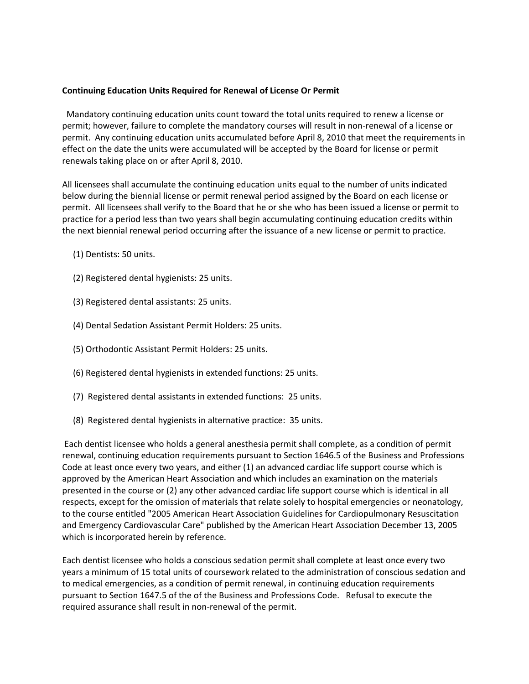#### **Continuing Education Units Required for Renewal of License Or Permit**

Mandatory continuing education units count toward the total units required to renew a license or permit; however, failure to complete the mandatory courses will result in non-renewal of a license or permit. Any continuing education units accumulated before April 8, 2010 that meet the requirements in effect on the date the units were accumulated will be accepted by the Board for license or permit renewals taking place on or after April 8, 2010.

All licensees shall accumulate the continuing education units equal to the number of units indicated below during the biennial license or permit renewal period assigned by the Board on each license or permit. All licensees shall verify to the Board that he or she who has been issued a license or permit to practice for a period less than two years shall begin accumulating continuing education credits within the next biennial renewal period occurring after the issuance of a new license or permit to practice.

- (1) Dentists: 50 units.
- (2) Registered dental hygienists: 25 units.
- (3) Registered dental assistants: 25 units.
- (4) Dental Sedation Assistant Permit Holders: 25 units.
- (5) Orthodontic Assistant Permit Holders: 25 units.
- (6) Registered dental hygienists in extended functions: 25 units.
- (7) Registered dental assistants in extended functions: 25 units.
- (8) Registered dental hygienists in alternative practice: 35 units.

Each dentist licensee who holds a general anesthesia permit shall complete, as a condition of permit renewal, continuing education requirements pursuant to Section 1646.5 of the Business and Professions Code at least once every two years, and either (1) an advanced cardiac life support course which is approved by the American Heart Association and which includes an examination on the materials presented in the course or (2) any other advanced cardiac life support course which is identical in all respects, except for the omission of materials that relate solely to hospital emergencies or neonatology, to the course entitled "2005 American Heart Association Guidelines for Cardiopulmonary Resuscitation and Emergency Cardiovascular Care" published by the American Heart Association December 13, 2005 which is incorporated herein by reference.

Each dentist licensee who holds a conscious sedation permit shall complete at least once every two years a minimum of 15 total units of coursework related to the administration of conscious sedation and to medical emergencies, as a condition of permit renewal, in continuing education requirements pursuant to Section 1647.5 of the of the Business and Professions Code. Refusal to execute the required assurance shall result in non-renewal of the permit.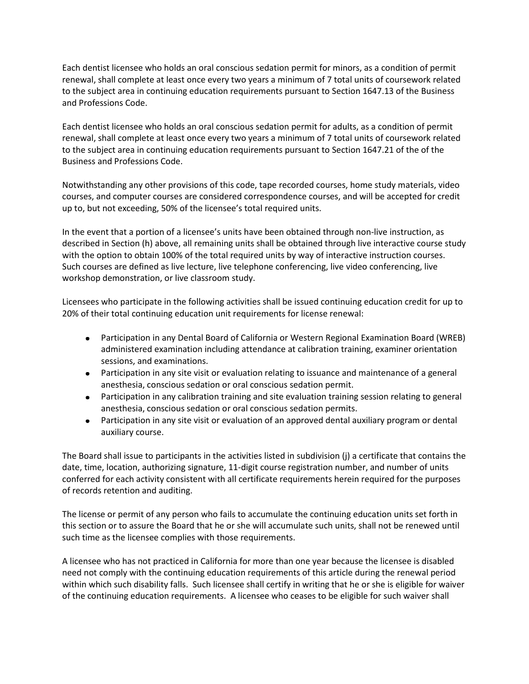Each dentist licensee who holds an oral conscious sedation permit for minors, as a condition of permit renewal, shall complete at least once every two years a minimum of 7 total units of coursework related to the subject area in continuing education requirements pursuant to Section 1647.13 of the Business and Professions Code.

Each dentist licensee who holds an oral conscious sedation permit for adults, as a condition of permit renewal, shall complete at least once every two years a minimum of 7 total units of coursework related to the subject area in continuing education requirements pursuant to Section 1647.21 of the of the Business and Professions Code.

Notwithstanding any other provisions of this code, tape recorded courses, home study materials, video courses, and computer courses are considered correspondence courses, and will be accepted for credit up to, but not exceeding, 50% of the licensee's total required units.

In the event that a portion of a licensee's units have been obtained through non-live instruction, as described in Section (h) above, all remaining units shall be obtained through live interactive course study with the option to obtain 100% of the total required units by way of interactive instruction courses. Such courses are defined as live lecture, live telephone conferencing, live video conferencing, live workshop demonstration, or live classroom study.

Licensees who participate in the following activities shall be issued continuing education credit for up to 20% of their total continuing education unit requirements for license renewal:

- Participation in any Dental Board of California or Western Regional Examination Board (WREB) administered examination including attendance at calibration training, examiner orientation sessions, and examinations.
- Participation in any site visit or evaluation relating to issuance and maintenance of a general anesthesia, conscious sedation or oral conscious sedation permit.
- Participation in any calibration training and site evaluation training session relating to general anesthesia, conscious sedation or oral conscious sedation permits.
- Participation in any site visit or evaluation of an approved dental auxiliary program or dental auxiliary course.

The Board shall issue to participants in the activities listed in subdivision (j) a certificate that contains the date, time, location, authorizing signature, 11-digit course registration number, and number of units conferred for each activity consistent with all certificate requirements herein required for the purposes of records retention and auditing.

The license or permit of any person who fails to accumulate the continuing education units set forth in this section or to assure the Board that he or she will accumulate such units, shall not be renewed until such time as the licensee complies with those requirements.

A licensee who has not practiced in California for more than one year because the licensee is disabled need not comply with the continuing education requirements of this article during the renewal period within which such disability falls. Such licensee shall certify in writing that he or she is eligible for waiver of the continuing education requirements. A licensee who ceases to be eligible for such waiver shall